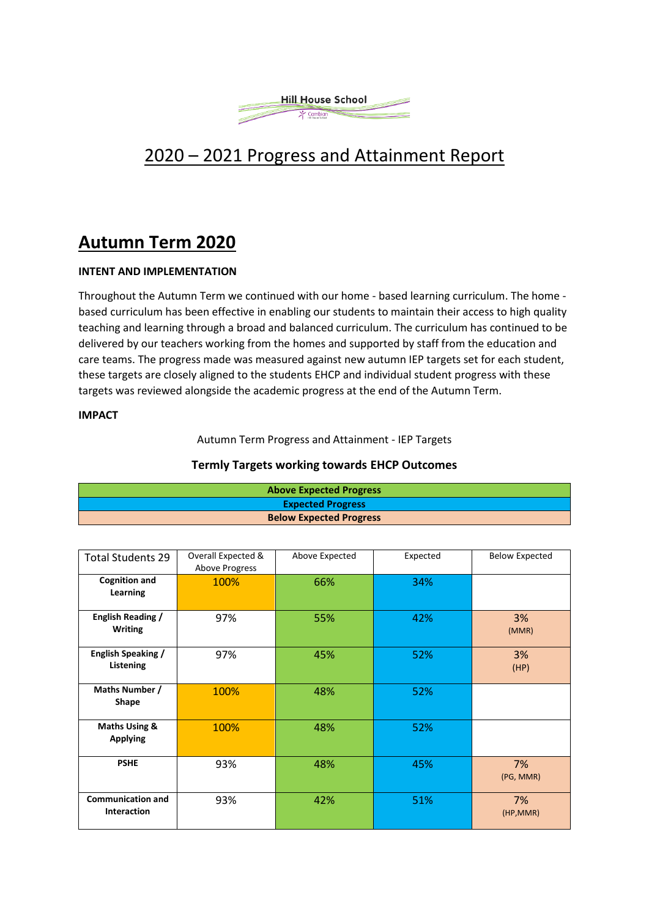

# 2020 – 2021 Progress and Attainment Report

# **Autumn Term 2020**

#### **INTENT AND IMPLEMENTATION**

Throughout the Autumn Term we continued with our home - based learning curriculum. The home based curriculum has been effective in enabling our students to maintain their access to high quality teaching and learning through a broad and balanced curriculum. The curriculum has continued to be delivered by our teachers working from the homes and supported by staff from the education and care teams. The progress made was measured against new autumn IEP targets set for each student, these targets are closely aligned to the students EHCP and individual student progress with these targets was reviewed alongside the academic progress at the end of the Autumn Term.

#### **IMPACT**

#### Autumn Term Progress and Attainment - IEP Targets

**Termly Targets working towards EHCP Outcomes**

| <b>Above Expected Progress</b> |
|--------------------------------|
| <b>Expected Progress</b>       |

**Below Expected Progress**

| <b>Total Students 29</b>                       | Overall Expected &<br>Above Progress | Above Expected | Expected | <b>Below Expected</b> |
|------------------------------------------------|--------------------------------------|----------------|----------|-----------------------|
| <b>Cognition and</b><br>Learning               | 100%                                 | 66%            | 34%      |                       |
| English Reading /<br><b>Writing</b>            | 97%                                  | 55%            | 42%      | 3%<br>(MMR)           |
| <b>English Speaking /</b><br>Listening         | 97%                                  | 45%            | 52%      | 3%<br>(HP)            |
| Maths Number /<br>Shape                        | 100%                                 | 48%            | 52%      |                       |
| Maths Using &<br><b>Applying</b>               | 100%                                 | 48%            | 52%      |                       |
| <b>PSHE</b>                                    | 93%                                  | 48%            | 45%      | 7%<br>(PG, MMR)       |
| <b>Communication and</b><br><b>Interaction</b> | 93%                                  | 42%            | 51%      | 7%<br>(HP, MMR)       |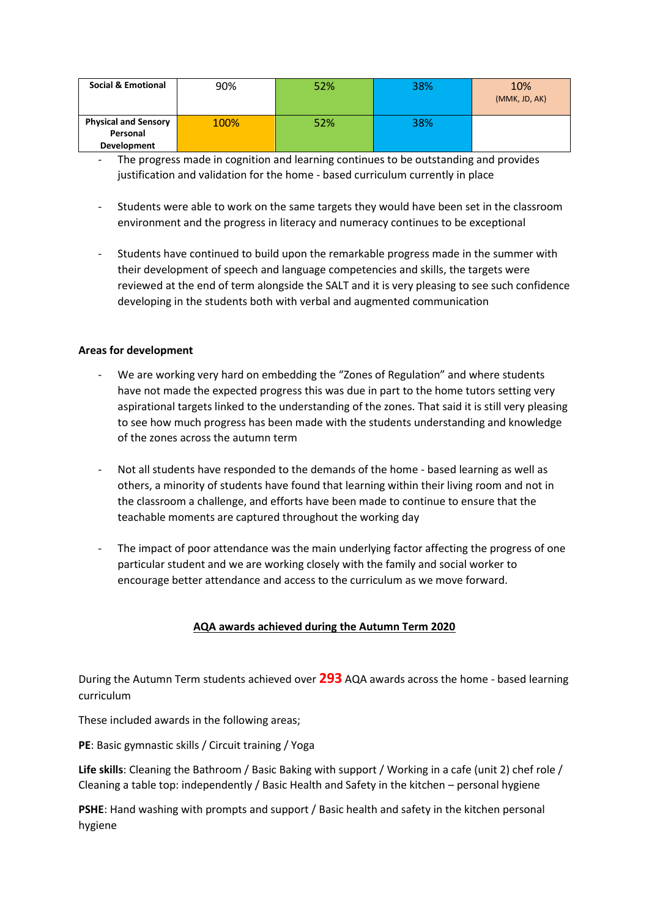| <b>Social &amp; Emotional</b> | 90%  | 52% | 38% | 10%<br>(MMK, JD, AK) |
|-------------------------------|------|-----|-----|----------------------|
| <b>Physical and Sensory</b>   | 100% | 52% | 38% |                      |
| Personal                      |      |     |     |                      |
| Development                   |      |     |     |                      |

- The progress made in cognition and learning continues to be outstanding and provides justification and validation for the home - based curriculum currently in place
- Students were able to work on the same targets they would have been set in the classroom environment and the progress in literacy and numeracy continues to be exceptional
- Students have continued to build upon the remarkable progress made in the summer with their development of speech and language competencies and skills, the targets were reviewed at the end of term alongside the SALT and it is very pleasing to see such confidence developing in the students both with verbal and augmented communication

#### **Areas for development**

- We are working very hard on embedding the "Zones of Regulation" and where students have not made the expected progress this was due in part to the home tutors setting very aspirational targets linked to the understanding of the zones. That said it is still very pleasing to see how much progress has been made with the students understanding and knowledge of the zones across the autumn term
- Not all students have responded to the demands of the home based learning as well as others, a minority of students have found that learning within their living room and not in the classroom a challenge, and efforts have been made to continue to ensure that the teachable moments are captured throughout the working day
- The impact of poor attendance was the main underlying factor affecting the progress of one particular student and we are working closely with the family and social worker to encourage better attendance and access to the curriculum as we move forward.

## **AQA awards achieved during the Autumn Term 2020**

During the Autumn Term students achieved over **293** AQA awards across the home - based learning curriculum

These included awards in the following areas;

**PE**: Basic gymnastic skills / Circuit training / Yoga

**Life skills**: Cleaning the Bathroom / Basic Baking with support / Working in a cafe (unit 2) chef role / Cleaning a table top: independently / Basic Health and Safety in the kitchen – personal hygiene

**PSHE**: Hand washing with prompts and support / Basic health and safety in the kitchen personal hygiene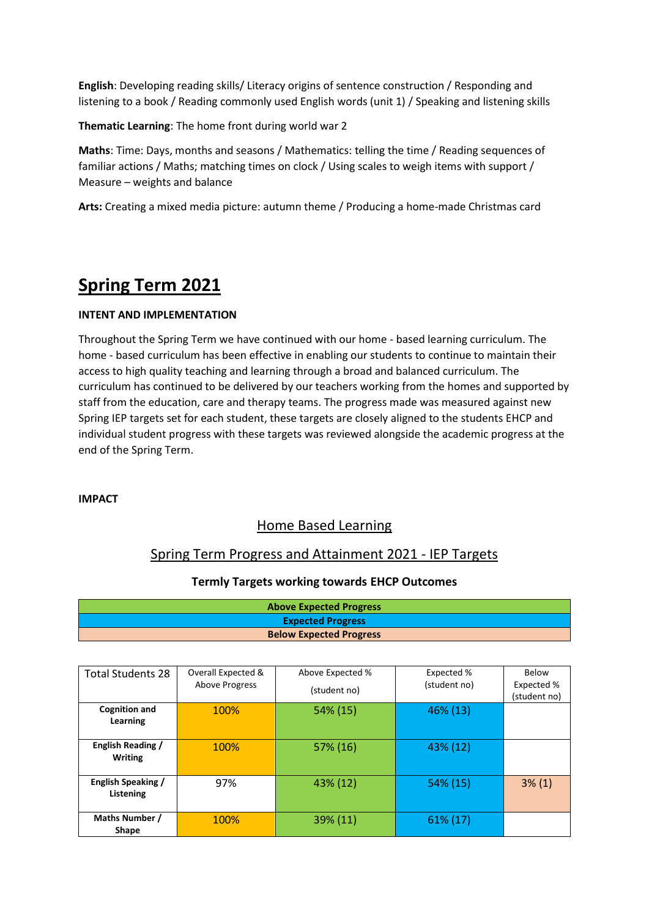**English**: Developing reading skills/ Literacy origins of sentence construction / Responding and listening to a book / Reading commonly used English words (unit 1) / Speaking and listening skills

**Thematic Learning**: The home front during world war 2

**Maths**: Time: Days, months and seasons / Mathematics: telling the time / Reading sequences of familiar actions / Maths; matching times on clock / Using scales to weigh items with support / Measure – weights and balance

**Arts:** Creating a mixed media picture: autumn theme / Producing a home-made Christmas card

# **Spring Term 2021**

## **INTENT AND IMPLEMENTATION**

Throughout the Spring Term we have continued with our home - based learning curriculum. The home - based curriculum has been effective in enabling our students to continue to maintain their access to high quality teaching and learning through a broad and balanced curriculum. The curriculum has continued to be delivered by our teachers working from the homes and supported by staff from the education, care and therapy teams. The progress made was measured against new Spring IEP targets set for each student, these targets are closely aligned to the students EHCP and individual student progress with these targets was reviewed alongside the academic progress at the end of the Spring Term.

#### **IMPACT**

## Home Based Learning

## Spring Term Progress and Attainment 2021 - IEP Targets

## **Termly Targets working towards EHCP Outcomes**

| <b>Above Expected Progress</b> |
|--------------------------------|
| <b>Expected Progress</b>       |
| <b>Below Expected Progress</b> |

| <b>Total Students 28</b>            | Overall Expected &    | Above Expected % | Expected %   | Below                      |
|-------------------------------------|-----------------------|------------------|--------------|----------------------------|
|                                     | <b>Above Progress</b> | (student no)     | (student no) | Expected %<br>(student no) |
| <b>Cognition and</b><br>Learning    | 100%                  | 54% (15)         | 46% (13)     |                            |
| English Reading /<br><b>Writing</b> | 100%                  | 57% (16)         | 43% (12)     |                            |
| English Speaking /<br>Listening     | 97%                   | 43% (12)         | 54% (15)     | $3\%$ (1)                  |
| Maths Number /<br>Shape             | 100%                  | 39% (11)         | 61% (17)     |                            |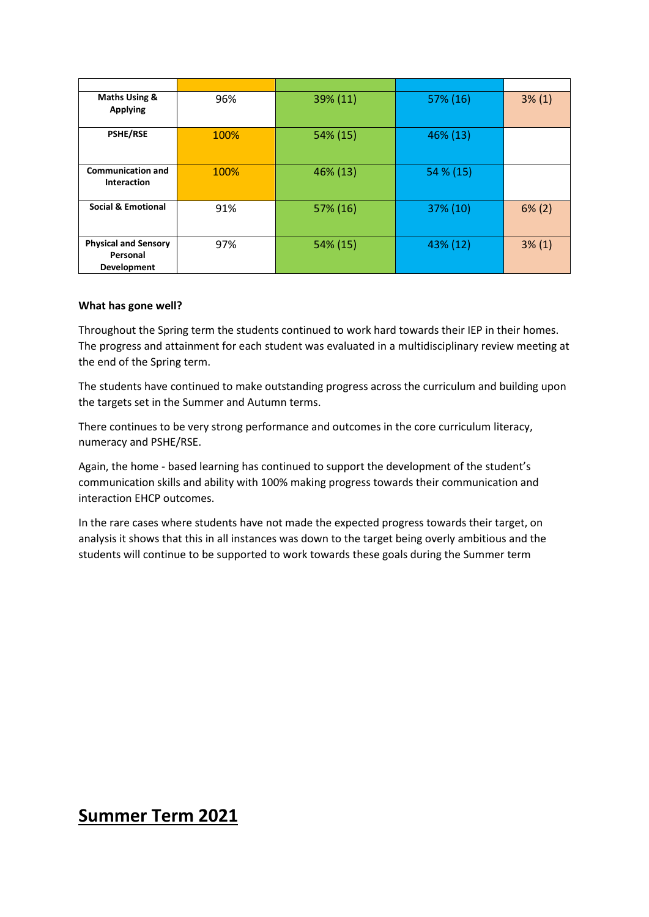| Maths Using &<br><b>Applying</b>                       | 96%  | $39\% (11)$ | 57% (16)  | $3\%$ (1) |
|--------------------------------------------------------|------|-------------|-----------|-----------|
| <b>PSHE/RSE</b>                                        | 100% | 54% (15)    | 46% (13)  |           |
| <b>Communication and</b><br><b>Interaction</b>         | 100% | 46% (13)    | 54 % (15) |           |
| <b>Social &amp; Emotional</b>                          | 91%  | 57% (16)    | 37% (10)  | $6\%$ (2) |
| <b>Physical and Sensory</b><br>Personal<br>Development | 97%  | 54% (15)    | 43% (12)  | $3\%$ (1) |

#### **What has gone well?**

Throughout the Spring term the students continued to work hard towards their IEP in their homes. The progress and attainment for each student was evaluated in a multidisciplinary review meeting at the end of the Spring term.

The students have continued to make outstanding progress across the curriculum and building upon the targets set in the Summer and Autumn terms.

There continues to be very strong performance and outcomes in the core curriculum literacy, numeracy and PSHE/RSE.

Again, the home - based learning has continued to support the development of the student's communication skills and ability with 100% making progress towards their communication and interaction EHCP outcomes.

In the rare cases where students have not made the expected progress towards their target, on analysis it shows that this in all instances was down to the target being overly ambitious and the students will continue to be supported to work towards these goals during the Summer term

# **Summer Term 2021**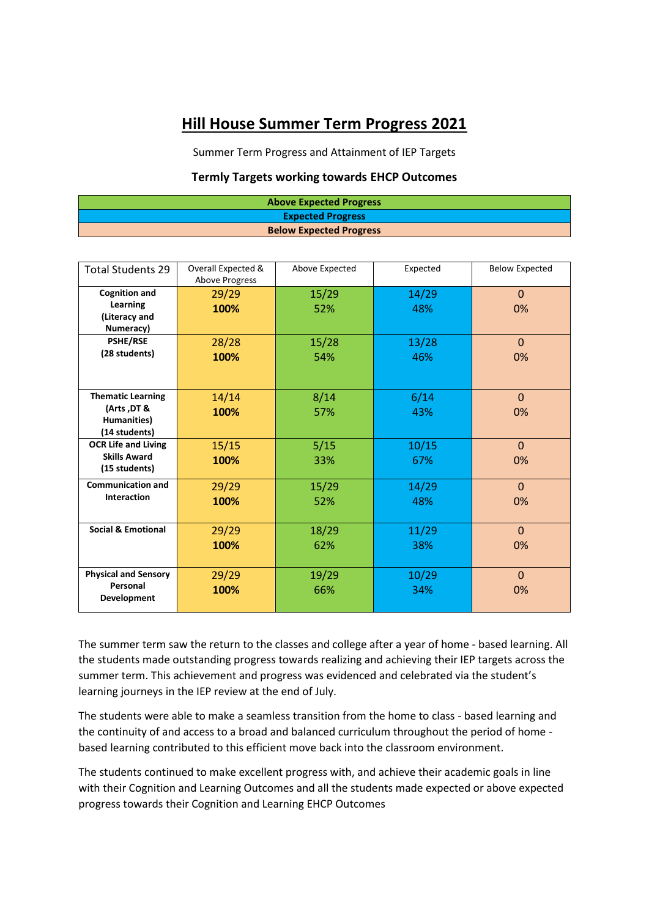# **Hill House Summer Term Progress 2021**

Summer Term Progress and Attainment of IEP Targets

#### **Termly Targets working towards EHCP Outcomes**

| <b>Above Expected Progress</b> |
|--------------------------------|
| <b>Expected Progress</b>       |
| <b>Below Expected Progress</b> |

| <b>Total Students 29</b>                                                | Overall Expected &<br><b>Above Progress</b> | Above Expected | Expected     | <b>Below Expected</b> |
|-------------------------------------------------------------------------|---------------------------------------------|----------------|--------------|-----------------------|
| <b>Cognition and</b><br>Learning<br>(Literacy and<br>Numeracy)          | 29/29<br>100%                               | 15/29<br>52%   | 14/29<br>48% | $\Omega$<br>0%        |
| <b>PSHE/RSE</b><br>(28 students)                                        | 28/28<br>100%                               | 15/28<br>54%   | 13/28<br>46% | $\Omega$<br>0%        |
| <b>Thematic Learning</b><br>(Arts, DT &<br>Humanities)<br>(14 students) | 14/14<br>100%                               | 8/14<br>57%    | 6/14<br>43%  | $\Omega$<br>0%        |
| <b>OCR Life and Living</b><br><b>Skills Award</b><br>(15 students)      | 15/15<br>100%                               | 5/15<br>33%    | 10/15<br>67% | $\mathbf{0}$<br>0%    |
| <b>Communication and</b><br><b>Interaction</b>                          | 29/29<br>100%                               | 15/29<br>52%   | 14/29<br>48% | $\Omega$<br>0%        |
| <b>Social &amp; Emotional</b>                                           | 29/29<br>100%                               | 18/29<br>62%   | 11/29<br>38% | $\Omega$<br>0%        |
| <b>Physical and Sensory</b><br>Personal<br>Development                  | 29/29<br>100%                               | 19/29<br>66%   | 10/29<br>34% | $\Omega$<br>0%        |

The summer term saw the return to the classes and college after a year of home - based learning. All the students made outstanding progress towards realizing and achieving their IEP targets across the summer term. This achievement and progress was evidenced and celebrated via the student's learning journeys in the IEP review at the end of July.

The students were able to make a seamless transition from the home to class - based learning and the continuity of and access to a broad and balanced curriculum throughout the period of home based learning contributed to this efficient move back into the classroom environment.

The students continued to make excellent progress with, and achieve their academic goals in line with their Cognition and Learning Outcomes and all the students made expected or above expected progress towards their Cognition and Learning EHCP Outcomes